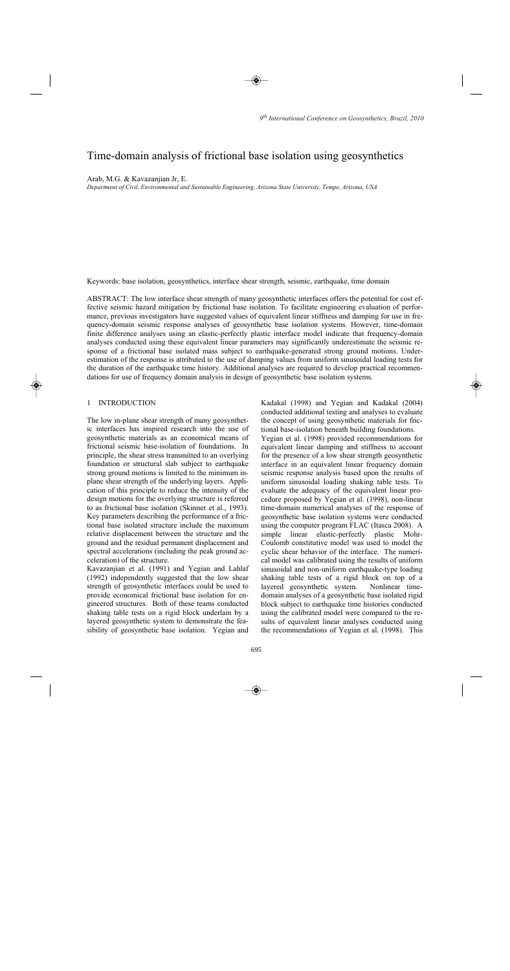# Time-domain analysis of frictional base isolation using geosynthetics

Arab, M.G. & Kavazanjian Jr, E.

*Department of Civil, Environmental and Sustainable Engineering, Arizona State University, Tempe, Arizona, USA* 

Keywords: base isolation, geosynthetics, interface shear strength, seismic, earthquake, time domain

ABSTRACT: The low interface shear strength of many geosynthetic interfaces offers the potential for cost effective seismic hazard mitigation by frictional base isolation. To facilitate engineering evaluation of performance, previous investigators have suggested values of equivalent linear stiffness and damping for use in frequency-domain seismic response analyses of geosynthetic base isolation systems. However, time-domain finite difference analyses using an elastic-perfectly plastic interface model indicate that frequency-domain analyses conducted using these equivalent linear parameters may significantly underestimate the seismic response of a frictional base isolated mass subject to earthquake-generated strong ground motions. Underestimation of the response is attributed to the use of damping values from uniform sinusoidal loading tests for the duration of the earthquake time history. Additional analyses are required to develop practical recommendations for use of frequency domain analysis in design of geosynthetic base isolation systems.

# 1 INTRODUCTION

The low in-plane shear strength of many geosynthetic interfaces has inspired research into the use of geosynthetic materials as an economical means of frictional seismic base-isolation of foundations. In principle, the shear stress transmitted to an overlying foundation or structural slab subject to earthquake strong ground motions is limited to the minimum inplane shear strength of the underlying layers. Application of this principle to reduce the intensity of the design motions for the overlying structure is referred to as frictional base isolation (Skinner et al., 1993). Key parameters describing the performance of a frictional base isolated structure include the maximum relative displacement between the structure and the ground and the residual permanent displacement and spectral accelerations (including the peak ground acceleration) of the structure.

Kavazanjian et al. (1991) and Yegian and Lahlaf (1992) independently suggested that the low shear strength of geosynthetic interfaces could be used to provide economical frictional base isolation for engineered structures. Both of these teams conducted shaking table tests on a rigid block underlain by a layered geosynthetic system to demonstrate the feasibility of geosynthetic base isolation. Yegian and

Kadakal (1998) and Yegian and Kadakal (2004) conducted additional testing and analyses to evaluate the concept of using geosynthetic materials for frictional base-isolation beneath building foundations. Yegian et al. (1998) provided recommendations for equivalent linear damping and stiffness to account for the presence of a low shear strength geosynthetic interface in an equivalent linear frequency domain seismic response analysis based upon the results of uniform sinusoidal loading shaking table tests. To evaluate the adequacy of the equivalent linear procedure proposed by Yegian et al. (1998), non-linear time-domain numerical analyses of the response of geosynthetic base isolation systems were conducted using the computer program FLAC (Itasca 2008). A simple linear elastic-perfectly plastic Mohr-Coulomb constitutive model was used to model the cyclic shear behavior of the interface. The numerical model was calibrated using the results of uniform sinusoidal and non-uniform earthquake-type loading shaking table tests of a rigid block on top of a layered geosynthetic system. Nonlinear timedomain analyses of a geosynthetic base isolated rigid block subject to earthquake time histories conducted using the calibrated model were compared to the results of equivalent linear analyses conducted using the recommendations of Yegian et al. (1998). This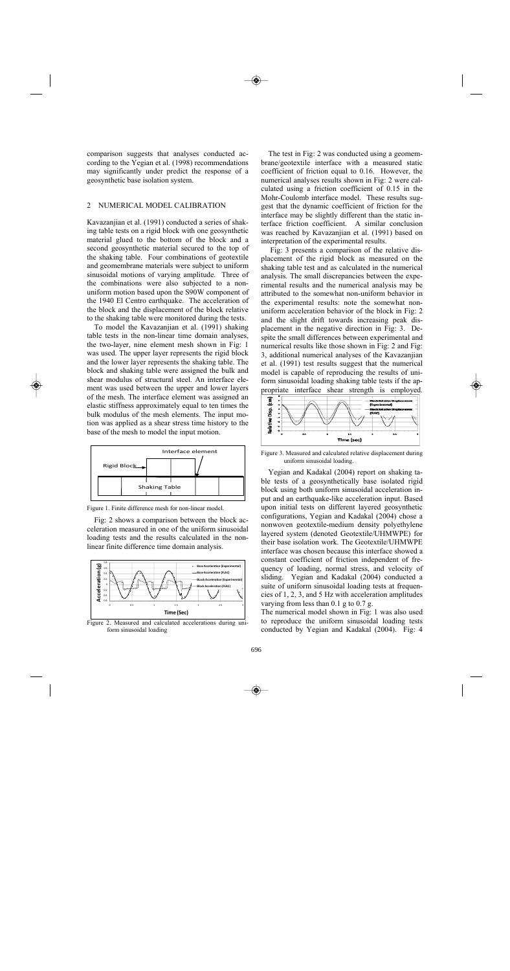comparison suggests that analyses conducted according to the Yegian et al. (1998) recommendations may significantly under predict the response of a geosynthetic base isolation system.

# 2 NUMERICAL MODEL CALIBRATION

Kavazanjian et al. (1991) conducted a series of shaking table tests on a rigid block with one geosynthetic material glued to the bottom of the block and a second geosynthetic material secured to the top of the shaking table. Four combinations of geotextile and geomembrane materials were subject to uniform sinusoidal motions of varying amplitude. Three of the combinations were also subjected to a nonuniform motion based upon the S90W component of the 1940 El Centro earthquake. The acceleration of the block and the displacement of the block relative to the shaking table were monitored during the tests.

To model the Kavazanjian et al. (1991) shaking table tests in the non-linear time domain analyses, the two-layer, nine element mesh shown in Fig: 1 was used. The upper layer represents the rigid block and the lower layer represents the shaking table. The block and shaking table were assigned the bulk and shear modulus of structural steel. An interface element was used between the upper and lower layers of the mesh. The interface element was assigned an elastic stiffness approximately equal to ten times the bulk modulus of the mesh elements. The input motion was applied as a shear stress time history to the base of the mesh to model the input motion.



Figure 1. Finite difference mesh for non-linear model.

Fig: 2 shows a comparison between the block acceleration measured in one of the uniform sinusoidal loading tests and the results calculated in the nonlinear finite difference time domain analysis.



Figure 2. Measured and calculated accelerations during uniform sinusoidal loading

The test in Fig: 2 was conducted using a geomembrane/geotextile interface with a measured static coefficient of friction equal to 0.16. However, the numerical analyses results shown in Fig: 2 were calculated using a friction coefficient of 0.15 in the Mohr-Coulomb interface model. These results suggest that the dynamic coefficient of friction for the interface may be slightly different than the static interface friction coefficient. A similar conclusion was reached by Kavazanjian et al. (1991) based on interpretation of the experimental results.

Fig: 3 presents a comparison of the relative displacement of the rigid block as measured on the shaking table test and as calculated in the numerical analysis. The small discrepancies between the experimental results and the numerical analysis may be attributed to the somewhat non-uniform behavior in the experimental results: note the somewhat nonuniform acceleration behavior of the block in Fig: 2 and the slight drift towards increasing peak displacement in the negative direction in Fig: 3. Despite the small differences between experimental and numerical results like those shown in Fig: 2 and Fig: 3, additional numerical analyses of the Kavazanjian et al. (1991) test results suggest that the numerical model is capable of reproducing the results of uniform sinusoidal loading shaking table tests if the appropriate interface shear strength is employed.



Figure 3. Measured and calculated relative displacement during uniform sinusoidal loading.

Yegian and Kadakal (2004) report on shaking table tests of a geosynthetically base isolated rigid block using both uniform sinusoidal acceleration input and an earthquake-like acceleration input. Based upon initial tests on different layered geosynthetic configurations, Yegian and Kadakal (2004) chose a nonwoven geotextile-medium density polyethylene layered system (denoted Geotextile/UHMWPE) for their base isolation work. The Geotextile/UHMWPE interface was chosen because this interface showed a constant coefficient of friction independent of frequency of loading, normal stress, and velocity of sliding. Yegian and Kadakal (2004) conducted a suite of uniform sinusoidal loading tests at frequencies of 1, 2, 3, and 5 Hz with acceleration amplitudes varying from less than 0.1 g to 0.7 g.

The numerical model shown in Fig: 1 was also used to reproduce the uniform sinusoidal loading tests conducted by Yegian and Kadakal (2004). Fig: 4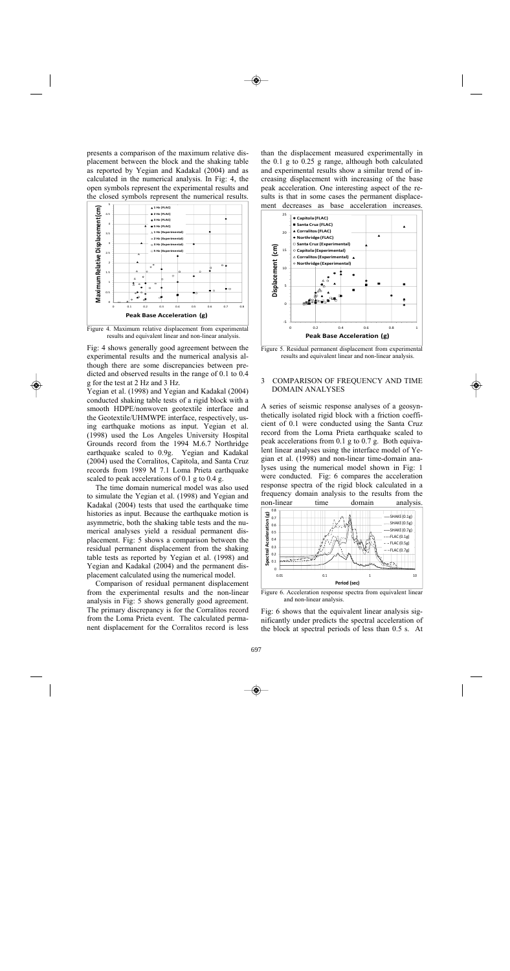presents a comparison of the maximum relative displacement between the block and the shaking table as reported by Yegian and Kadakal (2004) and as calculated in the numerical analysis. In Fig: 4, the open symbols represent the experimental results and the closed symbols represent the numerical results.



 Figure 4. Maximum relative displacement from experimental results and equivalent linear and non-linear analysis.

Fig: 4 shows generally good agreement between the experimental results and the numerical analysis although there are some discrepancies between predicted and observed results in the range of 0.1 to 0.4 g for the test at 2 Hz and 3 Hz.

Yegian et al. (1998) and Yegian and Kadakal (2004) conducted shaking table tests of a rigid block with a smooth HDPE/nonwoven geotextile interface and the Geotextile/UHMWPE interface, respectively, using earthquake motions as input. Yegian et al. (1998) used the Los Angeles University Hospital Grounds record from the 1994 M.6.7 Northridge earthquake scaled to 0.9g. Yegian and Kadakal (2004) used the Corralitos, Capitola, and Santa Cruz records from 1989 M 7.1 Loma Prieta earthquake scaled to peak accelerations of 0.1 g to 0.4 g.

The time domain numerical model was also used to simulate the Yegian et al. (1998) and Yegian and Kadakal (2004) tests that used the earthquake time histories as input. Because the earthquake motion is asymmetric, both the shaking table tests and the numerical analyses yield a residual permanent displacement. Fig: 5 shows a comparison between the residual permanent displacement from the shaking table tests as reported by Yegian et al. (1998) and Yegian and Kadakal (2004) and the permanent displacement calculated using the numerical model.

Comparison of residual permanent displacement from the experimental results and the non-linear analysis in Fig: 5 shows generally good agreement. The primary discrepancy is for the Corralitos record from the Loma Prieta event. The calculated permanent displacement for the Corralitos record is less than the displacement measured experimentally in the  $0.1$  g to  $0.25$  g range, although both calculated and experimental results show a similar trend of increasing displacement with increasing of the base peak acceleration. One interesting aspect of the results is that in some cases the permanent displacement decreases as base acceleration increases.



Figure 5. Residual permanent displacement from experimental results and equivalent linear and non-linear analysis.

## 3 COMPARISON OF FREQUENCY AND TIME DOMAIN ANALYSES

A series of seismic response analyses of a geosynthetically isolated rigid block with a friction coefficient of 0.1 were conducted using the Santa Cruz record from the Loma Prieta earthquake scaled to peak accelerations from 0.1 g to 0.7 g. Both equivalent linear analyses using the interface model of Yegian et al. (1998) and non-linear time-domain analyses using the numerical model shown in Fig: 1 were conducted. Fig: 6 compares the acceleration response spectra of the rigid block calculated in a frequency domain analysis to the results from the non-linear time domain analysis.



Figure 6. Acceleration response spectra from equivalent linear and non-linear analysis.

Fig: 6 shows that the equivalent linear analysis significantly under predicts the spectral acceleration of the block at spectral periods of less than 0.5 s. At